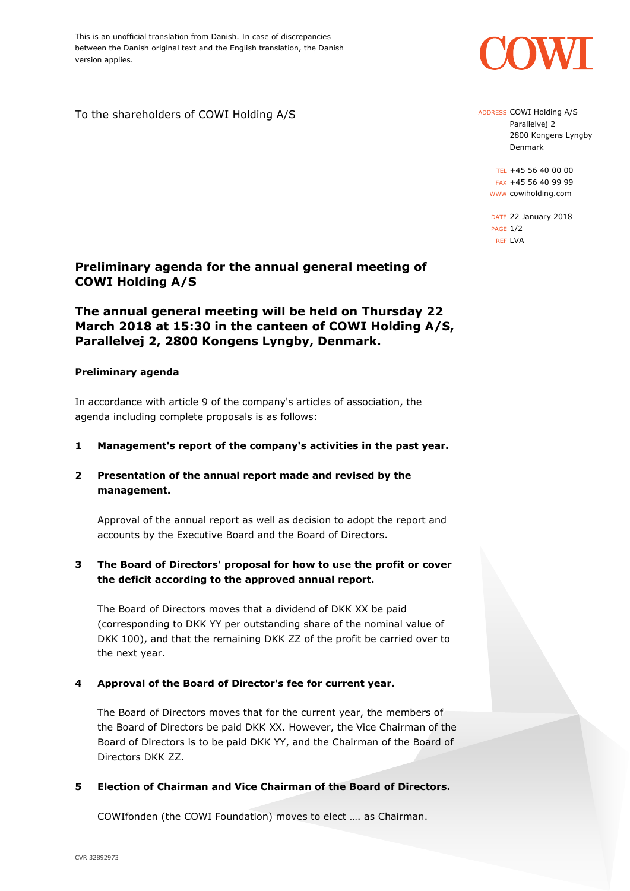This is an unofficial translation from Danish. In case of discrepancies between the Danish original text and the English translation, the Danish version applies.

To the shareholders of COWI Holding A/S

## **Preliminary agenda for the annual general meeting of COWI Holding A/S**

# **The annual general meeting will be held on Thursday 22 March 2018 at 15:30 in the canteen of COWI Holding A/S, Parallelvej 2, 2800 Kongens Lyngby, Denmark.**

### **Preliminary agenda**

In accordance with article 9 of the company's articles of association, the agenda including complete proposals is as follows:

- **1 Management's report of the company's activities in the past year.**
- **2 Presentation of the annual report made and revised by the management.**

Approval of the annual report as well as decision to adopt the report and accounts by the Executive Board and the Board of Directors.

## **3 The Board of Directors' proposal for how to use the profit or cover the deficit according to the approved annual report.**

The Board of Directors moves that a dividend of DKK XX be paid (corresponding to DKK YY per outstanding share of the nominal value of DKK 100), and that the remaining DKK ZZ of the profit be carried over to the next year.

## **4 Approval of the Board of Director's fee for current year.**

The Board of Directors moves that for the current year, the members of the Board of Directors be paid DKK XX. However, the Vice Chairman of the Board of Directors is to be paid DKK YY, and the Chairman of the Board of Directors DKK ZZ.

## **5 Election of Chairman and Vice Chairman of the Board of Directors.**

COWIfonden (the COWI Foundation) moves to elect …. as Chairman.

ADDRESS COWI Holding A/S Parallelvej 2 2800 Kongens Lyngby Denmark

TEL +45 56 40 00 00 FAX +45 56 40 99 99 WWW cowiholding.com

DATE 22 January 2018 PAGE 1/2 REF LVA